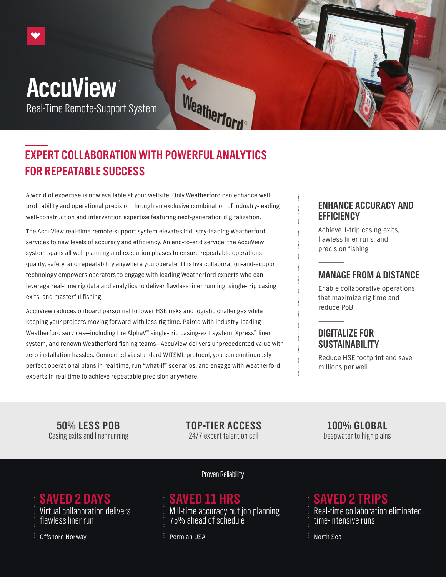# **AccuView** Real-Time Remote-Support System



A world of expertise is now available at your wellsite. Only Weatherford can enhance well profitability and operational precision through an exclusive combination of industry-leading well-construction and intervention expertise featuring next-generation digitalization.

The AccuView real-time remote-support system elevates industry-leading Weatherford services to new levels of accuracy and efficiency. An end-to-end service, the AccuView system spans all well planning and execution phases to ensure repeatable operations quality, safety, and repeatability anywhere you operate. This live collaboration-and-support technology empowers operators to engage with leading Weatherford experts who can leverage real-time rig data and analytics to deliver flawless liner running, single-trip casing exits, and masterful fishing.

AccuView reduces onboard personnel to lower HSE risks and logistic challenges while keeping your projects moving forward with less rig time. Paired with industry-leading Weatherford services—including the AlphaV™ single-trip casing-exit system, Xpress™ liner system, and renown Weatherford fishing teams—AccuView delivers unprecedented value with zero installation hassles. Connected via standard WITSML protocol, you can continuously perfect operational plans in real time, run "what-if" scenarios, and engage with Weatherford experts in real time to achieve repeatable precision anywhere.

#### **ENHANCE ACCURACY AND EFFICIENCY**

Achieve 1-trip casing exits, flawless liner runs, and precision fishing

#### **MANAGE FROM A DISTANCE**

Enable collaborative operations that maximize rig time and reduce PoB

### **DIGITALIZE FOR SUSTAINABILITY**

Reduce HSE footprint and save millions per well

**50% LESS POB** Casing exits and liner running **TOP-TIER ACCESS** 24/7 expert talent on call

Weatherford

**100% GLOBAL** Deepwater to high plains

**SAVED 2 DAYS SAVED 11 HRS SAVED 2 TRIPS** Virtual collaboration delivers flawless liner run

Offshore Norway North Sea North Sea North Sea North Sea North Sea North Sea North Sea North Sea North Sea North Sea

#### Proven Reliability

Mill-time accuracy put job planning 75% ahead of schedule

Real-time collaboration eliminated time-intensive runs